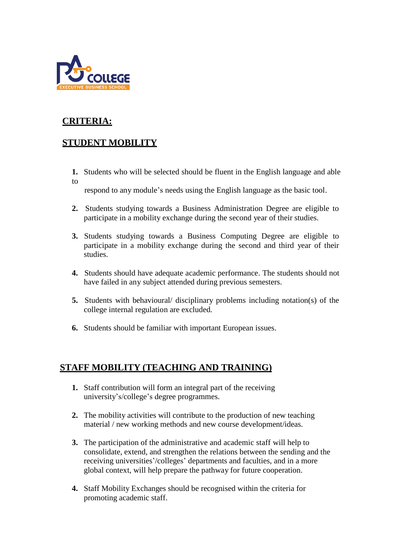

## **CRITERIA:**

## **STUDENT MOBILITY**

**1.** Students who will be selected should be fluent in the English language and able to

respond to any module's needs using the English language as the basic tool.

- **2.** Students studying towards a Business Administration Degree are eligible to participate in a mobility exchange during the second year of their studies.
- **3.** Students studying towards a Business Computing Degree are eligible to participate in a mobility exchange during the second and third year of their studies.
- **4.** Students should have adequate academic performance. The students should not have failed in any subject attended during previous semesters.
- **5.** Students with behavioural/ disciplinary problems including notation(s) of the college internal regulation are excluded.
- **6.** Students should be familiar with important European issues.

## **STAFF MOBILITY (TEACHING AND TRAINING)**

- **1.** Staff contribution will form an integral part of the receiving university's/college's degree programmes.
- **2.** The mobility activities will contribute to the production of new teaching material / new working methods and new course development/ideas.
- **3.** The participation of the administrative and academic staff will help to consolidate, extend, and strengthen the relations between the sending and the receiving universities'/colleges' departments and faculties, and in a more global context, will help prepare the pathway for future cooperation.
- **4.** Staff Mobility Exchanges should be recognised within the criteria for promoting academic staff.